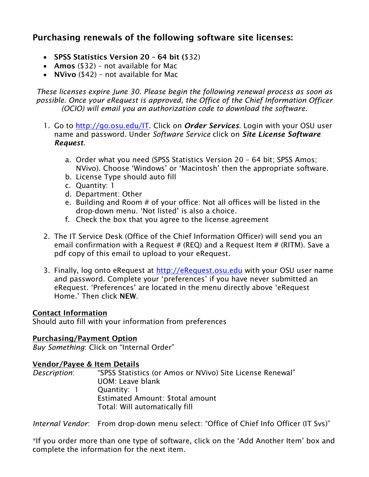# Purchasing renewals of the following software site licenses:

- SPSS Statistics Version 20 64 bit (\$32)
- Amos (\$32) not available for Mac
- **NVivo** (\$42) not available for Mac

*These licenses expire June 30. Please begin the following renewal process as soon as possible. Once your eRequest is approved, the Office of the Chief Information Officer (OCIO) will email you an authorization code to download the software.*

- 1. Go to [http://go.osu.edu/IT.](http://go.osu.edu/IT) Click on *Order Services*. Login with your OSU user name and password. Under *Software Service* click on *Site License Software Request*.
	- a. Order what you need (SPSS Statistics Version 20 64 bit; SPSS Amos; NVivo). Choose 'Windows' or 'Macintosh' then the appropriate software.
	- b. License Type should auto fill
	- c. Quantity: 1
	- d. Department: Other
	- e. Building and Room # of your office: Not all offices will be listed in the drop-down menu. 'Not listed' is also a choice.
	- f. Check the box that you agree to the license agreement
- 2. The IT Service Desk (Office of the Chief Information Officer) will send you an email confirmation with a Request  $#$  (REQ) and a Request Item  $#$  (RITM). Save a pdf copy of this email to upload to your eRequest.
- 3. Finally, log onto eRequest at [http://eRequest.osu.edu](http://erequest.osu.edu/) with your OSU user name and password. Complete your 'preferences' if you have never submitted an eRequest. 'Preferences' are located in the menu directly above 'eRequest Home.' Then click NEW.

## Contact Information

Should auto fill with your information from preferences

### Purchasing/Payment Option

*Buy Something*: Click on "Internal Order"

## Vendor/Payee & Item Details

*Description*: "SPSS Statistics (or Amos or NVivo) Site License Renewal" UOM: Leave blank Quantity: 1 Estimated Amount: \$total amount Total: Will automatically fill

*Internal Vendor*: From drop-down menu select: "Office of Chief Info Officer (IT Svs)"

\*If you order more than one type of software, click on the 'Add Another Item' box and complete the information for the next item.